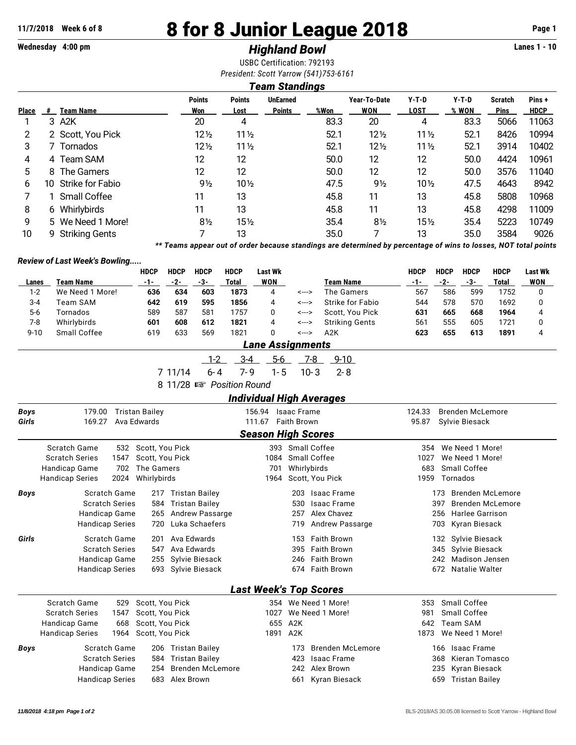# **11/7/2018 Week 6 of 8 8 for 8 Junior League 2018 Page 1**

### **Wednesday 4:00 pm** *Highland Bowl* **Lanes 1 - 10**

USBC Certification: 792193 *President: Scott Yarrow (541)753-6161*

### *Team Standings*

| <b>Place</b> | #  | <b>Team Name</b>    | <b>Points</b><br>Won | <b>Points</b><br>Lost | <b>UnEarned</b><br><b>Points</b> | %Won | Year-To-Date<br>WON | $Y-T-D$<br><b>LOST</b> | $Y-T-D$<br>% WON | <b>Scratch</b><br><b>Pins</b> | Pins+<br><b>HDCP</b> |
|--------------|----|---------------------|----------------------|-----------------------|----------------------------------|------|---------------------|------------------------|------------------|-------------------------------|----------------------|
|              |    | 3 A2K               | 20                   | 4                     |                                  | 83.3 | 20                  | 4                      | 83.3             | 5066                          | 11063                |
| 2            |    | 2 Scott, You Pick   | $12\frac{1}{2}$      | $11\frac{1}{2}$       |                                  | 52.1 | $12\frac{1}{2}$     | $11\frac{1}{2}$        | 52.1             | 8426                          | 10994                |
| 3            |    | 7 Tornados          | $12\frac{1}{2}$      | $11\frac{1}{2}$       |                                  | 52.1 | $12\frac{1}{2}$     | $11\frac{1}{2}$        | 52.1             | 3914                          | 10402                |
| 4            |    | 4 Team SAM          | 12                   | 12                    |                                  | 50.0 | 12                  | 12                     | 50.0             | 4424                          | 10961                |
| 5            | 8  | The Gamers          | 12                   | 12                    |                                  | 50.0 | 12                  | 12                     | 50.0             | 3576                          | 11040                |
| 6            | 10 | Strike for Fabio    | $9\frac{1}{2}$       | $10\frac{1}{2}$       |                                  | 47.5 | $9\frac{1}{2}$      | $10\frac{1}{2}$        | 47.5             | 4643                          | 8942                 |
|              |    | <b>Small Coffee</b> | 11                   | 13                    |                                  | 45.8 | 11                  | 13                     | 45.8             | 5808                          | 10968                |
| 8            |    | 6 Whirlybirds       | 11                   | 13                    |                                  | 45.8 | 11                  | 13                     | 45.8             | 4298                          | 11009                |
| 9            |    | 5 We Need 1 More!   | $8\frac{1}{2}$       | $15\frac{1}{2}$       |                                  | 35.4 | $8\frac{1}{2}$      | 15 <sub>2</sub>        | 35.4             | 5223                          | 10749                |
| 10           |    | 9 Striking Gents    |                      | 13                    |                                  | 35.0 |                     | 13                     | 35.0             | 3584                          | 9026                 |

*\*\* Teams appear out of order because standings are determined by percentage of wins to losses, NOT total points*

### *Review of Last Week's Bowling.....*

|          |                  | <b>HDCP</b> | <b>HDCP</b> | HDCP | <b>HDCP</b> | Last Wk    |       |                  | HDCP  | <b>HDCP</b> | <b>HDCP</b> | <b>HDCP</b> | <b>Last Wk</b> |
|----------|------------------|-------------|-------------|------|-------------|------------|-------|------------------|-------|-------------|-------------|-------------|----------------|
| Lanes    | Team Name        | $-1-$       | $-2-$       | -3-  | Total       | <b>WON</b> |       | <b>Team Name</b> | $-1-$ | -2-         | -3-         | Total       | <b>WON</b>     |
| 1-2      | We Need 1 More!  | 636         | 634         | 603  | 1873        | 4          | <---> | The Gamers       | 567   | 586         | 599         | 1752        |                |
| 3-4      | Team SAM         | 642         | 619         | 595  | 1856        | 4          | <---> | Strike for Fabio | 544   | 578         | 570         | 1692        |                |
| $5-6$    | Tornados         | 589         | 587         | 581  | 1757        |            | <---> | Scott, You Pick  | 631   | 665         | 668         | 1964        | 4              |
| 7-8      | Whirlybirds      | 601         | 608         | 612  | 1821        | 4          | <---> | Striking Gents   | 561   | 555         | 605         | 1721        |                |
| $9 - 10$ | Small Coffee     | 619         | 633         | 569  | 1821        |            | <---> | A2K              | 623   | 655         | 613         | 1891        | 4              |
|          | Lane Assignments |             |             |      |             |            |       |                  |       |             |             |             |                |

| л | о |  |
|---|---|--|
|   |   |  |

7 11/14 6-4 7-9 1-5 10-3 2-8

8 11/28  $\mathbb{R}$  Position Round

### *Individual High Averages* **Boys** 179.00 Tristan Bailey 156.94 Isaac Frame 124.33 Brenden McLemore **Girls** 169.27 Ava Edwards 111.67 Faith Brown 95.87 Sylvie Biesack *Season High Scores* Scratch Game 532 Scott, You Pick 393 Small Coffee 354 We Need 1 More! Scratch Series 1547 Scott, You Pick 1084 Small Coffee 1084 Small Coffee 1027 We Need 1 More! Handicap Game 702 The Gamers 701 Whirlybirds 701 Whirlybirds 683 Small Coffee Handicap Series 2024 Whirlybirds 1964 Scott, You Pick 1959 Tornados **Boys** Scratch Game 217 Tristan Bailey 203 Isaac Frame 173 Brenden McLemore Scratch Series 584 Tristan Bailey 530 Isaac Frame 530 Isaac Frame 397 Brenden McLemore Handicap Game 265 Andrew Passarge 257 Alex Chavez 256 Harlee Garrison Handicap Series 720 Luka Schaefers 719 Andrew Passarge 703 Kyran Biesack **Girls** Scratch Game 201 Ava Edwards 153 Faith Brown 132 Sylvie Biesack Scratch Series 347 Ava Edwards 395 Faith Brown 345 Sylvie Biesack Handicap Game 255 Sylvie Biesack 246 Faith Brown 242 Madison Jensen Handicap Series 693 Sylvie Biesack 674 Faith Brown 672 Natalie Walter *Last Week's Top Scores* Scratch Game 529 Scott, You Pick 354 We Need 1 More! 353 Small Coffee Scratch Series 1547 Scott, You Pick 1027 We Need 1 More! 981 Small Coffee Handicap Game 668 Scott, You Pick 655 A2K 655 A2K 642 Team SAM Handicap Series 1964 Scott, You Pick 1891 A2K 1891 A2K 1873 We Need 1 More! **Boys** Scratch Game 206 Tristan Bailey 173 Brenden McLemore 166 Isaac Frame Scratch Series 584 Tristan Bailey 1988 1988 1988 Australian Series 368 Kieran Tomasco Handicap Game 254 Brenden McLemore 242 Alex Brown 235 Kyran Biesack Handicap Series 683 Alex Brown 661 Kyran Biesack 659 Tristan Bailey